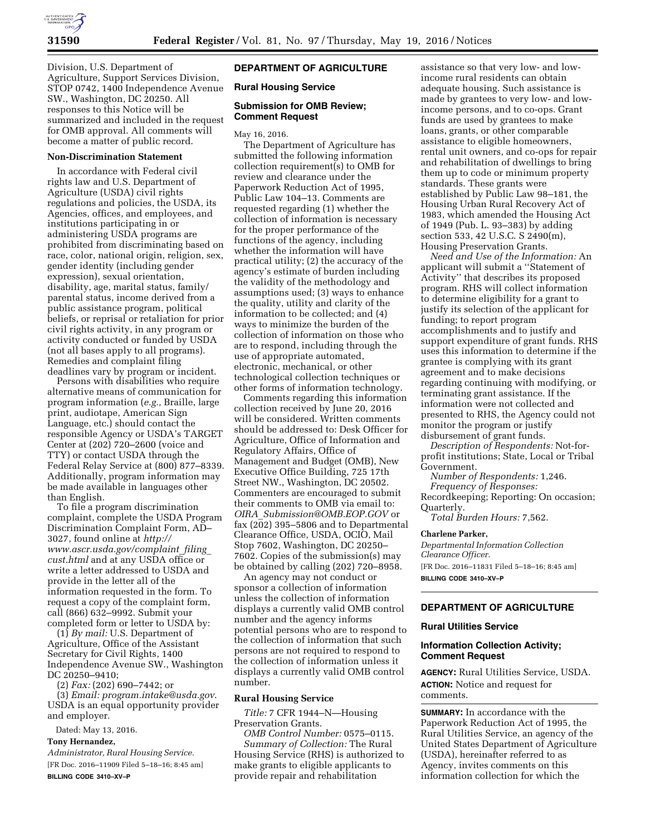

Division, U.S. Department of Agriculture, Support Services Division, STOP 0742, 1400 Independence Avenue SW., Washington, DC 20250. All responses to this Notice will be summarized and included in the request for OMB approval. All comments will become a matter of public record.

#### **Non-Discrimination Statement**

In accordance with Federal civil rights law and U.S. Department of Agriculture (USDA) civil rights regulations and policies, the USDA, its Agencies, offices, and employees, and institutions participating in or administering USDA programs are prohibited from discriminating based on race, color, national origin, religion, sex, gender identity (including gender expression), sexual orientation, disability, age, marital status, family/ parental status, income derived from a public assistance program, political beliefs, or reprisal or retaliation for prior civil rights activity, in any program or activity conducted or funded by USDA (not all bases apply to all programs). Remedies and complaint filing deadlines vary by program or incident.

Persons with disabilities who require alternative means of communication for program information (*e.g.,* Braille, large print, audiotape, American Sign Language, etc.) should contact the responsible Agency or USDA's TARGET Center at (202) 720–2600 (voice and TTY) or contact USDA through the Federal Relay Service at (800) 877–8339. Additionally, program information may be made available in languages other than English.

To file a program discrimination complaint, complete the USDA Program Discrimination Complaint Form, AD– 3027, found online at *[http://](http://www.ascr.usda.gov/complaint_filing_cust.html) [www.ascr.usda.gov/complaint](http://www.ascr.usda.gov/complaint_filing_cust.html)*\_*filing*\_ *[cust.html](http://www.ascr.usda.gov/complaint_filing_cust.html)* and at any USDA office or write a letter addressed to USDA and provide in the letter all of the information requested in the form. To request a copy of the complaint form, call (866) 632–9992. Submit your completed form or letter to USDA by:

(1) *By mail:* U.S. Department of Agriculture, Office of the Assistant Secretary for Civil Rights, 1400 Independence Avenue SW., Washington DC 20250–9410;

(2) *Fax:* (202) 690–7442; or

(3) *Email: [program.intake@usda.gov](mailto:program.intake@usda.gov)*. USDA is an equal opportunity provider and employer.

Dated: May 13, 2016.

### **Tony Hernandez,**

*Administrator, Rural Housing Service.*  [FR Doc. 2016–11909 Filed 5–18–16; 8:45 am]

**BILLING CODE 3410–XV–P** 

## **DEPARTMENT OF AGRICULTURE**

### **Rural Housing Service**

#### **Submission for OMB Review; Comment Request**

May 16, 2016.

The Department of Agriculture has submitted the following information collection requirement(s) to OMB for review and clearance under the Paperwork Reduction Act of 1995, Public Law 104–13. Comments are requested regarding (1) whether the collection of information is necessary for the proper performance of the functions of the agency, including whether the information will have practical utility; (2) the accuracy of the agency's estimate of burden including the validity of the methodology and assumptions used; (3) ways to enhance the quality, utility and clarity of the information to be collected; and (4) ways to minimize the burden of the collection of information on those who are to respond, including through the use of appropriate automated, electronic, mechanical, or other technological collection techniques or other forms of information technology.

Comments regarding this information collection received by June 20, 2016 will be considered. Written comments should be addressed to: Desk Officer for Agriculture, Office of Information and Regulatory Affairs, Office of Management and Budget (OMB), New Executive Office Building, 725 17th Street NW., Washington, DC 20502. Commenters are encouraged to submit their comments to OMB via email to: *OIRA*\_*[Submission@OMB.EOP.GOV](mailto:OIRA_Submission@OMB.EOP.GOV)* or fax (202) 395–5806 and to Departmental Clearance Office, USDA, OCIO, Mail Stop 7602, Washington, DC 20250– 7602. Copies of the submission(s) may be obtained by calling (202) 720–8958.

An agency may not conduct or sponsor a collection of information unless the collection of information displays a currently valid OMB control number and the agency informs potential persons who are to respond to the collection of information that such persons are not required to respond to the collection of information unless it displays a currently valid OMB control number.

#### **Rural Housing Service**

*Title:* 7 CFR 1944–N—Housing Preservation Grants.

*OMB Control Number:* 0575–0115. *Summary of Collection:* The Rural Housing Service (RHS) is authorized to make grants to eligible applicants to provide repair and rehabilitation

assistance so that very low- and lowincome rural residents can obtain adequate housing. Such assistance is made by grantees to very low- and lowincome persons, and to co-ops. Grant funds are used by grantees to make loans, grants, or other comparable assistance to eligible homeowners, rental unit owners, and co-ops for repair and rehabilitation of dwellings to bring them up to code or minimum property standards. These grants were established by Public Law 98–181, the Housing Urban Rural Recovery Act of 1983, which amended the Housing Act of 1949 (Pub. L. 93–383) by adding section 533, 42 U.S.C. S 2490(m), Housing Preservation Grants.

*Need and Use of the Information:* An applicant will submit a ''Statement of Activity'' that describes its proposed program. RHS will collect information to determine eligibility for a grant to justify its selection of the applicant for funding; to report program accomplishments and to justify and support expenditure of grant funds. RHS uses this information to determine if the grantee is complying with its grant agreement and to make decisions regarding continuing with modifying, or terminating grant assistance. If the information were not collected and presented to RHS, the Agency could not monitor the program or justify disbursement of grant funds.

*Description of Respondents:* Not-forprofit institutions; State, Local or Tribal Government.

*Number of Respondents:* 1,246. *Frequency of Responses:* 

Recordkeeping; Reporting: On occasion; Quarterly.

*Total Burden Hours:* 7,562.

### **Charlene Parker,**

*Departmental Information Collection Clearance Officer.*  [FR Doc. 2016–11831 Filed 5–18–16; 8:45 am] **BILLING CODE 3410–XV–P** 

# **DEPARTMENT OF AGRICULTURE**

## **Rural Utilities Service**

## **Information Collection Activity; Comment Request**

**AGENCY:** Rural Utilities Service, USDA. **ACTION:** Notice and request for comments.

**SUMMARY:** In accordance with the Paperwork Reduction Act of 1995, the Rural Utilities Service, an agency of the United States Department of Agriculture (USDA), hereinafter referred to as Agency, invites comments on this information collection for which the